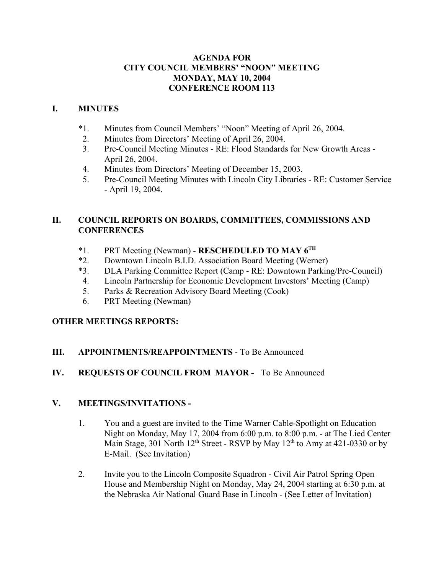#### **AGENDA FOR CITY COUNCIL MEMBERS' "NOON" MEETING MONDAY, MAY 10, 2004 CONFERENCE ROOM 113**

### **I. MINUTES**

- \*1. Minutes from Council Members' "Noon" Meeting of April 26, 2004.
- 2. Minutes from Directors' Meeting of April 26, 2004.
- 3. Pre-Council Meeting Minutes RE: Flood Standards for New Growth Areas April 26, 2004.
- 4. Minutes from Directors' Meeting of December 15, 2003.
- 5. Pre-Council Meeting Minutes with Lincoln City Libraries RE: Customer Service - April 19, 2004.

## **II. COUNCIL REPORTS ON BOARDS, COMMITTEES, COMMISSIONS AND CONFERENCES**

- \*1. PRT Meeting (Newman) **RESCHEDULED TO MAY 6TH**
- \*2. Downtown Lincoln B.I.D. Association Board Meeting (Werner)
- \*3. DLA Parking Committee Report (Camp RE: Downtown Parking/Pre-Council)
- 4. Lincoln Partnership for Economic Development Investors' Meeting (Camp)
- 5. Parks & Recreation Advisory Board Meeting (Cook)
- 6. PRT Meeting (Newman)

## **OTHER MEETINGS REPORTS:**

## **III. APPOINTMENTS/REAPPOINTMENTS** - To Be Announced

## **IV. REQUESTS OF COUNCIL FROM MAYOR -** To Be Announced

#### **V. MEETINGS/INVITATIONS -**

- 1. You and a guest are invited to the Time Warner Cable-Spotlight on Education Night on Monday, May 17, 2004 from 6:00 p.m. to 8:00 p.m. - at The Lied Center Main Stage, 301 North  $12^{th}$  Street - RSVP by May  $12^{th}$  to Amy at 421-0330 or by E-Mail. (See Invitation)
- 2. Invite you to the Lincoln Composite Squadron Civil Air Patrol Spring Open House and Membership Night on Monday, May 24, 2004 starting at 6:30 p.m. at the Nebraska Air National Guard Base in Lincoln - (See Letter of Invitation)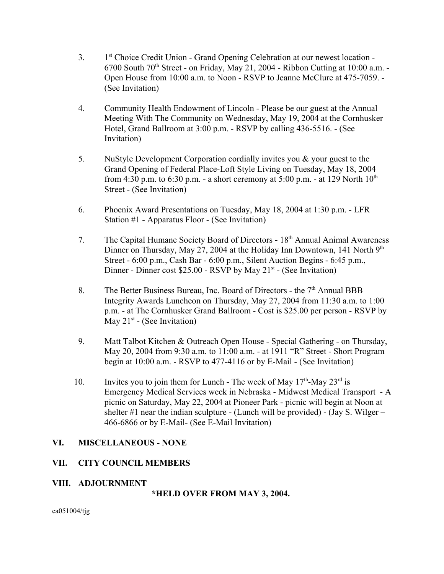- 3. 1st Choice Credit Union Grand Opening Celebration at our newest location  $6700$  South  $70<sup>th</sup>$  Street - on Friday, May 21, 2004 - Ribbon Cutting at 10:00 a.m. -Open House from 10:00 a.m. to Noon - RSVP to Jeanne McClure at 475-7059. - (See Invitation)
- 4. Community Health Endowment of Lincoln Please be our guest at the Annual Meeting With The Community on Wednesday, May 19, 2004 at the Cornhusker Hotel, Grand Ballroom at 3:00 p.m. - RSVP by calling 436-5516. - (See Invitation)
- 5. NuStyle Development Corporation cordially invites you & your guest to the Grand Opening of Federal Place-Loft Style Living on Tuesday, May 18, 2004 from 4:30 p.m. to 6:30 p.m. - a short ceremony at 5:00 p.m. - at 129 North  $10^{th}$ Street - (See Invitation)
- 6. Phoenix Award Presentations on Tuesday, May 18, 2004 at 1:30 p.m. LFR Station #1 - Apparatus Floor - (See Invitation)
- 7. The Capital Humane Society Board of Directors 18<sup>th</sup> Annual Animal Awareness Dinner on Thursday, May 27, 2004 at the Holiday Inn Downtown, 141 North 9<sup>th</sup> Street - 6:00 p.m., Cash Bar - 6:00 p.m., Silent Auction Begins - 6:45 p.m., Dinner - Dinner cost  $$25.00$  - RSVP by May  $21<sup>st</sup>$  - (See Invitation)
- 8. The Better Business Bureau, Inc. Board of Directors the 7<sup>th</sup> Annual BBB Integrity Awards Luncheon on Thursday, May 27, 2004 from 11:30 a.m. to 1:00 p.m. - at The Cornhusker Grand Ballroom - Cost is \$25.00 per person - RSVP by May  $21^{st}$  - (See Invitation)
- 9. Matt Talbot Kitchen & Outreach Open House Special Gathering on Thursday, May 20, 2004 from 9:30 a.m. to 11:00 a.m. - at 1911 "R" Street - Short Program begin at 10:00 a.m. - RSVP to 477-4116 or by E-Mail - (See Invitation)
- 10. Invites you to join them for Lunch The week of May  $17<sup>th</sup>$ -May  $23<sup>rd</sup>$  is Emergency Medical Services week in Nebraska - Midwest Medical Transport - A picnic on Saturday, May 22, 2004 at Pioneer Park - picnic will begin at Noon at shelter  $#1$  near the indian sculpture - (Lunch will be provided) - (Jay S. Wilger – 466-6866 or by E-Mail- (See E-Mail Invitation)

#### **VI. MISCELLANEOUS - NONE**

#### **VII. CITY COUNCIL MEMBERS**

#### **VIII. ADJOURNMENT**

**\*HELD OVER FROM MAY 3, 2004.** 

ca051004/tjg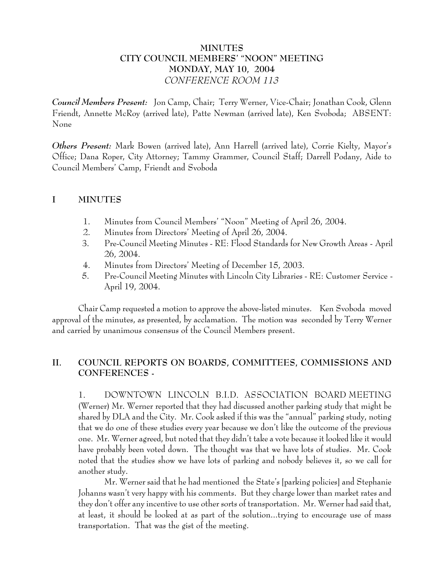### **MINUTES CITY COUNCIL MEMBERS' "NOON" MEETING MONDAY, MAY 10, 2004** *CONFERENCE ROOM 113*

*Council Members Present:* Jon Camp, Chair; Terry Werner, Vice-Chair; Jonathan Cook, Glenn Friendt, Annette McRoy (arrived late), Patte Newman (arrived late), Ken Svoboda; ABSENT: None

*Others Present:* Mark Bowen (arrived late), Ann Harrell (arrived late), Corrie Kielty, Mayor's Office; Dana Roper, City Attorney; Tammy Grammer, Council Staff; Darrell Podany, Aide to Council Members' Camp, Friendt and Svoboda

#### **I MINUTES**

- 1. Minutes from Council Members' "Noon" Meeting of April 26, 2004.
- 2. Minutes from Directors' Meeting of April 26, 2004.
- 3. Pre-Council Meeting Minutes RE: Flood Standards for New Growth Areas April 26, 2004.
- 4. Minutes from Directors' Meeting of December 15, 2003.
- 5. Pre-Council Meeting Minutes with Lincoln City Libraries RE: Customer Service April 19, 2004.

Chair Camp requested a motion to approve the above-listed minutes. Ken Svoboda moved approval of the minutes, as presented, by acclamation. The motion was seconded by Terry Werner and carried by unanimous consensus of the Council Members present.

# **II. COUNCIL REPORTS ON BOARDS, COMMITTEES, COMMISSIONS AND CONFERENCES -**

1. DOWNTOWN LINCOLN B.I.D. ASSOCIATION BOARD MEETING (Werner) Mr. Werner reported that they had discussed another parking study that might be shared by DLA and the City. Mr. Cook asked if this was the "annual" parking study, noting that we do one of these studies every year because we don't like the outcome of the previous one. Mr. Werner agreed, but noted that they didn't take a vote because it looked like it would have probably been voted down. The thought was that we have lots of studies. Mr. Cook noted that the studies show we have lots of parking and nobody believes it, so we call for another study.

Mr. Werner said that he had mentioned the State's [parking policies] and Stephanie Johanns wasn't very happy with his comments. But they charge lower than market rates and they don't offer any incentive to use other sorts of transportation. Mr. Werner had said that, at least, it should be looked at as part of the solution...trying to encourage use of mass transportation. That was the gist of the meeting.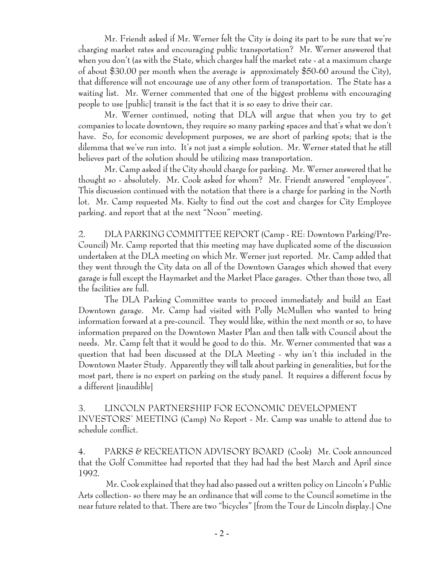Mr. Friendt asked if Mr. Werner felt the City is doing its part to be sure that we're charging market rates and encouraging public transportation? Mr. Werner answered that when you don't (as with the State, which charges half the market rate - at a maximum charge of about \$30.00 per month when the average is approximately \$50-60 around the City), that difference will not encourage use of any other form of transportation. The State has a waiting list. Mr. Werner commented that one of the biggest problems with encouraging people to use [public] transit is the fact that it is so easy to drive their car.

Mr. Werner continued, noting that DLA will argue that when you try to get companies to locate downtown, they require so many parking spaces and that's what we don't have. So, for economic development purposes, we are short of parking spots; that is the dilemma that we've run into. It's not just a simple solution. Mr. Werner stated that he still believes part of the solution should be utilizing mass transportation.

Mr. Camp asked if the City should charge for parking. Mr. Werner answered that he thought so - absolutely. Mr. Cook asked for whom? Mr. Friendt answered "employees". This discussion continued with the notation that there is a charge for parking in the North lot. Mr. Camp requested Ms. Kielty to find out the cost and charges for City Employee parking. and report that at the next "Noon" meeting.

2. DLA PARKING COMMITTEE REPORT (Camp - RE: Downtown Parking/Pre-Council) Mr. Camp reported that this meeting may have duplicated some of the discussion undertaken at the DLA meeting on which Mr. Werner just reported. Mr. Camp added that they went through the City data on all of the Downtown Garages which showed that every garage is full except the Haymarket and the Market Place garages. Other than those two, all the facilities are full.

The DLA Parking Committee wants to proceed immediately and build an East Downtown garage. Mr. Camp had visited with Polly McMullen who wanted to bring information forward at a pre-council. They would like, within the next month or so, to have information prepared on the Downtown Master Plan and then talk with Council about the needs. Mr. Camp felt that it would be good to do this. Mr. Werner commented that was a question that had been discussed at the DLA Meeting - why isn't this included in the Downtown Master Study. Apparently they will talk about parking in generalities, but for the most part, there is no expert on parking on the study panel. It requires a different focus by a different [inaudible]

# 3. LINCOLN PARTNERSHIP FOR ECONOMIC DEVELOPMENT INVESTORS' MEETING (Camp) No Report - Mr. Camp was unable to attend due to schedule conflict.

4. PARKS & RECREATION ADVISORY BOARD (Cook) Mr. Cook announced that the Golf Committee had reported that they had had the best March and April since 1992.

 Mr. Cook explained that they had also passed out a written policy on Lincoln's Public Arts collection- so there may be an ordinance that will come to the Council sometime in the near future related to that. There are two "bicycles" [from the Tour de Lincoln display.] One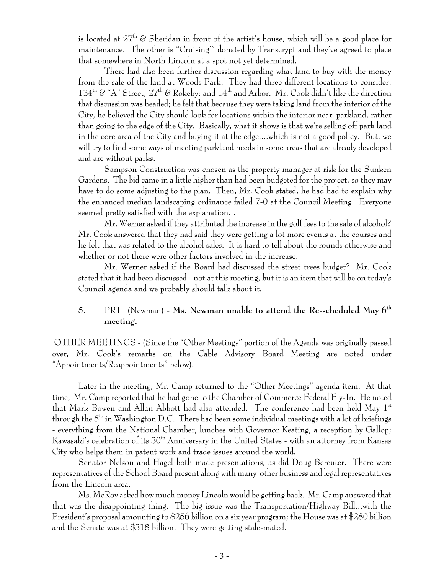is located at  $27<sup>th</sup>$  & Sheridan in front of the artist's house, which will be a good place for maintenance. The other is "Cruising'" donated by Transcrypt and they've agreed to place that somewhere in North Lincoln at a spot not yet determined.

There had also been further discussion regarding what land to buy with the money from the sale of the land at Woods Park. They had three different locations to consider: 134<sup>th</sup> & "A" Street;  $27<sup>th</sup>$  & Rokeby; and  $14<sup>th</sup>$  and Arbor. Mr. Cook didn't like the direction that discussion was headed; he felt that because they were taking land from the interior of the City, he believed the City should look for locations within the interior near parkland, rather than going to the edge of the City. Basically, what it shows is that we're selling off park land in the core area of the City and buying it at the edge....which is not a good policy. But, we will try to find some ways of meeting parkland needs in some areas that are already developed and are without parks.

 Sampson Construction was chosen as the property manager at risk for the Sunken Gardens. The bid came in a little higher than had been budgeted for the project, so they may have to do some adjusting to the plan. Then, Mr. Cook stated, he had had to explain why the enhanced median landscaping ordinance failed 7-0 at the Council Meeting. Everyone seemed pretty satisfied with the explanation. .

Mr. Werner asked if they attributed the increase in the golf fees to the sale of alcohol? Mr. Cook answered that they had said they were getting a lot more events at the courses and he felt that was related to the alcohol sales. It is hard to tell about the rounds otherwise and whether or not there were other factors involved in the increase.

Mr. Werner asked if the Board had discussed the street trees budget? Mr. Cook stated that it had been discussed - not at this meeting, but it is an item that will be on today's Council agenda and we probably should talk about it.

## 5. PRT (Newman) - **Ms. Newman unable to attend the Re-scheduled May 6th meeting.**

 OTHER MEETINGS - (Since the "Other Meetings" portion of the Agenda was originally passed over, Mr. Cook's remarks on the Cable Advisory Board Meeting are noted under "Appointments/Reappointments" below).

Later in the meeting, Mr. Camp returned to the "Other Meetings" agenda item. At that time, Mr. Camp reported that he had gone to the Chamber of Commerce Federal Fly-In. He noted that Mark Bowen and Allan Abbott had also attended. The conference had been held May  $1<sup>st</sup>$ through the  $5<sup>th</sup>$  in Washington D.C. There had been some individual meetings with a lot of briefings - everything from the National Chamber, lunches with Governor Keating, a reception by Gallop; Kawasaki's celebration of its 30<sup>th</sup> Anniversary in the United States - with an attorney from Kansas City who helps them in patent work and trade issues around the world.

Senator Nelson and Hagel both made presentations, as did Doug Bereuter. There were representatives of the School Board present along with many other business and legal representatives from the Lincoln area.

Ms. McRoy asked how much money Lincoln would be getting back. Mr. Camp answered that that was the disappointing thing. The big issue was the Transportation/Highway Bill...with the President's proposal amounting to \$256 billion on a six year program; the House was at \$280 billion and the Senate was at \$318 billion. They were getting stale-mated.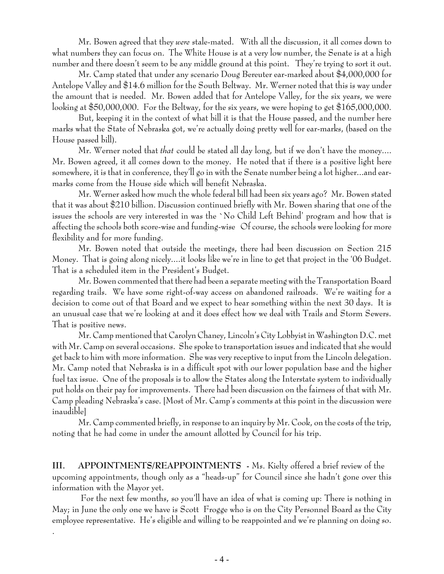Mr. Bowen agreed that they *were* stale-mated. With all the discussion, it all comes down to what numbers they can focus on. The White House is at a very low number, the Senate is at a high number and there doesn't seem to be any middle ground at this point. They're trying to sort it out.

Mr. Camp stated that under any scenario Doug Bereuter ear-marked about \$4,000,000 for Antelope Valley and \$14.6 million for the South Beltway. Mr. Werner noted that this is way under the amount that is needed. Mr. Bowen added that for Antelope Valley, for the six years, we were looking at \$50,000,000. For the Beltway, for the six years, we were hoping to get \$165,000,000.

But, keeping it in the context of what bill it is that the House passed, and the number here marks what the State of Nebraska got, we're actually doing pretty well for ear-marks, (based on the House passed bill).

Mr. Werner noted that *that* could be stated all day long, but if we don't have the money.... Mr. Bowen agreed, it all comes down to the money. He noted that if there is a positive light here somewhere, it is that in conference, they'll go in with the Senate number being a lot higher...and earmarks come from the House side which will benefit Nebraska.

Mr. Werner asked how much the whole federal bill had been six years ago? Mr. Bowen stated that it was about \$210 billion. Discussion continued briefly with Mr. Bowen sharing that one of the issues the schools are very interested in was the `No Child Left Behind' program and how that is affecting the schools both score-wise and funding-wise Of course, the schools were looking for more flexibility and for more funding.

Mr. Bowen noted that outside the meetings, there had been discussion on Section 215 Money. That is going along nicely....it looks like we're in line to get that project in the '06 Budget. That is a scheduled item in the President's Budget.

Mr. Bowen commented that there had been a separate meeting with the Transportation Board regarding trails. We have some right-of-way access on abandoned railroads. We're waiting for a decision to come out of that Board and we expect to hear something within the next 30 days. It is an unusual case that we're looking at and it does effect how we deal with Trails and Storm Sewers. That is positive news.

Mr. Camp mentioned that Carolyn Chaney, Lincoln's City Lobbyist in Washington D.C. met with Mr. Camp on several occasions. She spoke to transportation issues and indicated that she would get back to him with more information. She was very receptive to input from the Lincoln delegation. Mr. Camp noted that Nebraska is in a difficult spot with our lower population base and the higher fuel tax issue. One of the proposals is to allow the States along the Interstate system to individually put holds on their pay for improvements. There had been discussion on the fairness of that with Mr. Camp pleading Nebraska's case. [Most of Mr. Camp's comments at this point in the discussion were inaudible]

Mr. Camp commented briefly, in response to an inquiry by Mr. Cook, on the costs of the trip, noting that he had come in under the amount allotted by Council for his trip.

**III. APPOINTMENTS/REAPPOINTMENTS -** Ms. Kielty offered a brief review of the upcoming appointments, though only as a "heads-up" for Council since she hadn't gone over this information with the Mayor yet.

 For the next few months, so you'll have an idea of what is coming up: There is nothing in May; in June the only one we have is Scott Frogge who is on the City Personnel Board as the City employee representative. He's eligible and willing to be reappointed and we're planning on doing so.

.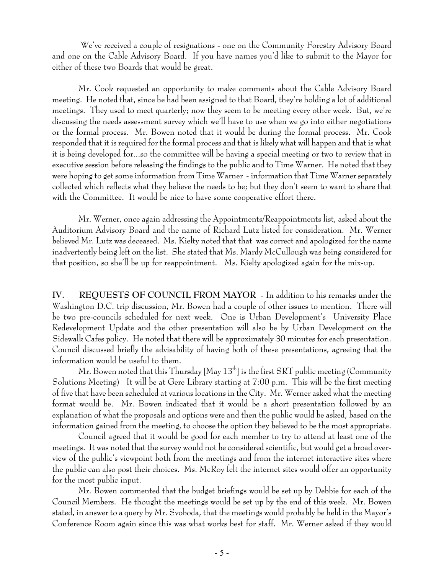We've received a couple of resignations - one on the Community Forestry Advisory Board and one on the Cable Advisory Board. If you have names you'd like to submit to the Mayor for either of these two Boards that would be great.

Mr. Cook requested an opportunity to make comments about the Cable Advisory Board meeting. He noted that, since he had been assigned to that Board, they're holding a lot of additional meetings. They used to meet quarterly; now they seem to be meeting every other week. But, we're discussing the needs assessment survey which we'll have to use when we go into either negotiations or the formal process. Mr. Bowen noted that it would be during the formal process. Mr. Cook responded that it is required for the formal process and that is likely what will happen and that is what it is being developed for...so the committee will be having a special meeting or two to review that in executive session before releasing the findings to the public and to Time Warner. He noted that they were hoping to get some information from Time Warner - information that Time Warner separately collected which reflects what they believe the needs to be; but they don't seem to want to share that with the Committee. It would be nice to have some cooperative effort there.

Mr. Werner, once again addressing the Appointments/Reappointments list, asked about the Auditorium Advisory Board and the name of Richard Lutz listed for consideration. Mr. Werner believed Mr. Lutz was deceased. Ms. Kielty noted that that was correct and apologized for the name inadvertently being left on the list. She stated that Ms. Mardy McCullough was being considered for that position, so she'll be up for reappointment. Ms. Kielty apologized again for the mix-up.

**IV. REQUESTS OF COUNCIL FROM MAYOR** - In addition to his remarks under the Washington D.C. trip discussion, Mr. Bowen had a couple of other issues to mention. There will be two pre-councils scheduled for next week. One is Urban Development's University Place Redevelopment Update and the other presentation will also be by Urban Development on the Sidewalk Cafes policy. He noted that there will be approximately 30 minutes for each presentation. Council discussed briefly the advisability of having both of these presentations, agreeing that the information would be useful to them.

Mr. Bowen noted that this Thursday [May  $13<sup>th</sup>$ ] is the first SRT public meeting (Community Solutions Meeting) It will be at Gere Library starting at 7:00 p.m. This will be the first meeting of five that have been scheduled at various locations in the City. Mr. Werner asked what the meeting format would be. Mr. Bowen indicated that it would be a short presentation followed by an explanation of what the proposals and options were and then the public would be asked, based on the information gained from the meeting, to choose the option they believed to be the most appropriate.

Council agreed that it would be good for each member to try to attend at least one of the meetings. It was noted that the survey would not be considered scientific, but would get a broad overview of the public's viewpoint both from the meetings and from the internet interactive sites where the public can also post their choices. Ms. McRoy felt the internet sites would offer an opportunity for the most public input.

Mr. Bowen commented that the budget briefings would be set up by Debbie for each of the Council Members. He thought the meetings would be set up by the end of this week. Mr. Bowen stated, in answer to a query by Mr. Svoboda, that the meetings would probably be held in the Mayor's Conference Room again since this was what works best for staff. Mr. Werner asked if they would